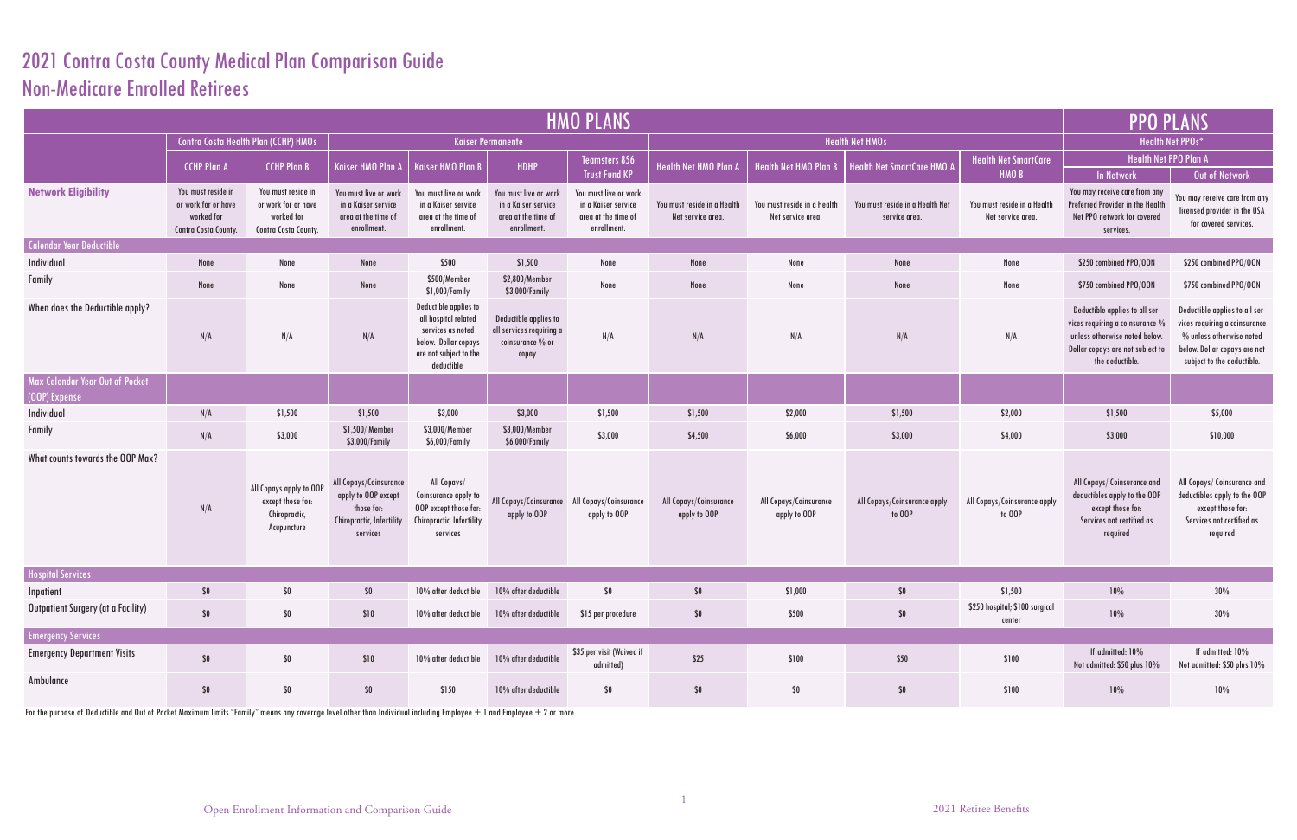## 2021 Contra Costa County Medical Plan Comparison Guide Non-Medicare Enrolled Retirees

|                                                  | <b>PPO PLANS</b>                                                                |                                                                                 |                                                                                                      |                                                                                                                                     |                                                                                    |                                                                                    |                                                  |                                                  |                                                  |                                                  |                                                                                                                                                              |                                                                                                                                                           |  |
|--------------------------------------------------|---------------------------------------------------------------------------------|---------------------------------------------------------------------------------|------------------------------------------------------------------------------------------------------|-------------------------------------------------------------------------------------------------------------------------------------|------------------------------------------------------------------------------------|------------------------------------------------------------------------------------|--------------------------------------------------|--------------------------------------------------|--------------------------------------------------|--------------------------------------------------|--------------------------------------------------------------------------------------------------------------------------------------------------------------|-----------------------------------------------------------------------------------------------------------------------------------------------------------|--|
|                                                  | Contra Costa Health Plan (CCHP) HMOs<br><b>Kaiser Permanente</b>                |                                                                                 |                                                                                                      |                                                                                                                                     |                                                                                    |                                                                                    |                                                  | <b>Health Net HMOs</b>                           |                                                  |                                                  | <b>Health Net PPOs*</b>                                                                                                                                      |                                                                                                                                                           |  |
|                                                  | <b>CCHP Plan A</b>                                                              | <b>CCHP Plan B</b>                                                              | <b>Kaiser HMO Plan A</b>                                                                             | <b>Kaiser HMO Plan B</b>                                                                                                            | HDHP                                                                               | <b>Teamsters 856</b><br><b>Trust Fund KP</b>                                       | <b>Health Net HMO Plan A</b>                     | <b>Health Net HMO Plan B</b>                     | <b>Health Net SmartCare HMO A</b>                | <b>Health Net SmartCare</b><br>HMO <sub>B</sub>  | Health Net PPO Plan A<br><b>In Network</b>                                                                                                                   | Out of Network                                                                                                                                            |  |
| <b>Network Eligibility</b>                       | You must reside in<br>or work for or have<br>worked for<br>Contra Costa County. | You must reside in<br>or work for or have<br>worked for<br>Contra Costa County. | You must live or work<br>in a Kaiser service<br>area at the time of<br>enrollment.                   | You must live or work<br>in a Kaiser service<br>area at the time of<br>enrollment.                                                  | You must live or work<br>in a Kaiser service<br>area at the time of<br>enrollment. | You must live or work<br>in a Kaiser service<br>area at the time of<br>enrollment. | You must reside in a Health<br>Net service area. | You must reside in a Health<br>Net service area. | You must reside in a Health Net<br>service area. | You must reside in a Health<br>Net service area. | You may receive care from any<br>Preferred Provider in the Health<br>Net PPO network for covered<br>services.                                                | You may receive care from any<br>licensed provider in the USA<br>for covered services.                                                                    |  |
| Calendar Year Deductible                         |                                                                                 |                                                                                 |                                                                                                      |                                                                                                                                     |                                                                                    |                                                                                    |                                                  |                                                  |                                                  |                                                  |                                                                                                                                                              |                                                                                                                                                           |  |
| Individual                                       | None                                                                            | None                                                                            | None                                                                                                 | \$500                                                                                                                               | \$1,500                                                                            | None                                                                               | None                                             | None                                             | None                                             | None                                             | \$250 combined PPO/OON                                                                                                                                       | \$250 combined PPO/OON                                                                                                                                    |  |
| <b>Family</b>                                    | None                                                                            | None                                                                            | None                                                                                                 | \$500/Member<br>\$1,000/Family                                                                                                      | \$2,800/Member<br>\$3,000/Family                                                   | None                                                                               | None                                             | None                                             | None                                             | None                                             | \$750 combined PPO/OON                                                                                                                                       | \$750 combined PPO/OON                                                                                                                                    |  |
| When does the Deductible apply?                  | N/A                                                                             | N/A                                                                             | N/A                                                                                                  | Deductible applies to<br>all hospital related<br>services as noted<br>below. Dollar copays<br>are not subject to the<br>deductible. | Deductible applies to<br>all services requiring a<br>coinsurance $\%$ or<br>copay  | N/A                                                                                | N/A                                              | N/A                                              | N/A                                              | N/A                                              | Deductible applies to all ser-<br>vices requiring a coinsurance $\%$<br>unless otherwise noted below.<br>Dollar copays are not subject to<br>the deductible. | Deductible applies to all ser-<br>vices requiring a coinsurance<br>% unless otherwise noted<br>below. Dollar copays are not<br>subject to the deductible. |  |
| Max Calendar Year Out of Pocket<br>(OOP) Expense |                                                                                 |                                                                                 |                                                                                                      |                                                                                                                                     |                                                                                    |                                                                                    |                                                  |                                                  |                                                  |                                                  |                                                                                                                                                              |                                                                                                                                                           |  |
| Individual                                       | N/A                                                                             | \$1,500                                                                         | \$1,500                                                                                              | \$3,000                                                                                                                             | \$3,000                                                                            | \$1,500                                                                            | \$1,500                                          | \$2,000                                          | \$1,500                                          | \$2,000                                          | \$1,500                                                                                                                                                      | \$5,000                                                                                                                                                   |  |
| Family                                           | N/A                                                                             | \$3,000                                                                         | \$1,500/ Member<br>\$3,000/Family                                                                    | \$3,000/Member<br>\$6,000/Family                                                                                                    | \$3,000/Member<br>\$6,000/Family                                                   | \$3,000                                                                            | \$4,500                                          | \$6,000                                          | \$3,000                                          | \$4,000                                          | \$3,000                                                                                                                                                      | \$10,000                                                                                                                                                  |  |
| What counts towards the OOP Max?                 | N/A                                                                             | All Copays apply to OOP<br>except those for:<br>Chiropractic,<br>Acupuncture    | All Copays/Coinsurance<br>apply to OOP except<br>those for:<br>Chiropractic, Infertility<br>services | All Copays/<br>Coinsurance apply to<br>OOP except those for:<br>Chiropractic, Infertility<br>services                               | All Copays/Coinsurance<br>apply to OOP                                             | All Copays/Coinsurance<br>apply to OOP                                             | All Copays/Coinsurance<br>apply to OOP           | All Copays/Coinsurance<br>apply to OOP           | All Copays/Coinsurance apply<br>to OOP           | All Copays/Coinsurance apply<br>to OOP           | All Copays/ Coinsurance and<br>deductibles apply to the OOP<br>except those for:<br>Services not certified as<br>required                                    | All Copays/ Coinsurance and<br>deductibles apply to the OOP<br>except those for:<br>Services not certified as<br>required                                 |  |
| <b>Hospital Services</b>                         |                                                                                 |                                                                                 |                                                                                                      |                                                                                                                                     |                                                                                    |                                                                                    |                                                  |                                                  |                                                  |                                                  |                                                                                                                                                              |                                                                                                                                                           |  |
| Inpatient                                        | $\$0$                                                                           | $$0\,$                                                                          | $$0\,$                                                                                               | 10% after deductible                                                                                                                | 10% after deductible                                                               | $\$0$                                                                              | $\$0$                                            | \$1,000                                          | $$0\,$                                           | \$1,500                                          | $10\%$                                                                                                                                                       | 30%                                                                                                                                                       |  |
| Outpatient Surgery (at a Facility)               | \$0                                                                             | \$0                                                                             | \$10                                                                                                 | 10% after deductible                                                                                                                | 10% after deductible                                                               | \$15 per procedure                                                                 | $$0\,$                                           | \$500                                            | $\$0$                                            | \$250 hospital; \$100 surgical<br>center         | $10\%$                                                                                                                                                       | 30%                                                                                                                                                       |  |
| <b>Emergency Services</b>                        |                                                                                 |                                                                                 |                                                                                                      |                                                                                                                                     |                                                                                    |                                                                                    |                                                  |                                                  |                                                  |                                                  |                                                                                                                                                              |                                                                                                                                                           |  |
| <b>Emergency Department Visits</b>               | \$0                                                                             | \$0                                                                             | \$10                                                                                                 | 10% after deductible                                                                                                                | 10% after deductible                                                               | \$35 per visit (Waived if<br>admitted)                                             | \$25                                             | \$100                                            | \$50                                             | \$100                                            | If admitted: 10%<br>Not admitted: \$50 plus 10%                                                                                                              | If admitted: 10%<br>Not admitted: \$50 plus 10%                                                                                                           |  |
| Ambulance                                        | \$0                                                                             | \$0                                                                             | $$0\,$                                                                                               | \$150                                                                                                                               | 10% after deductible                                                               | \$0                                                                                | $$0\,$                                           | \$0                                              | $$0\,$                                           | \$100                                            | $10\%$                                                                                                                                                       | 10%                                                                                                                                                       |  |

For the purpose of Deductible and Out of Pocket Maximum limits "Family" means any coverage level other than Individual including Employee  $+$  1 and Employee  $+$  2 or more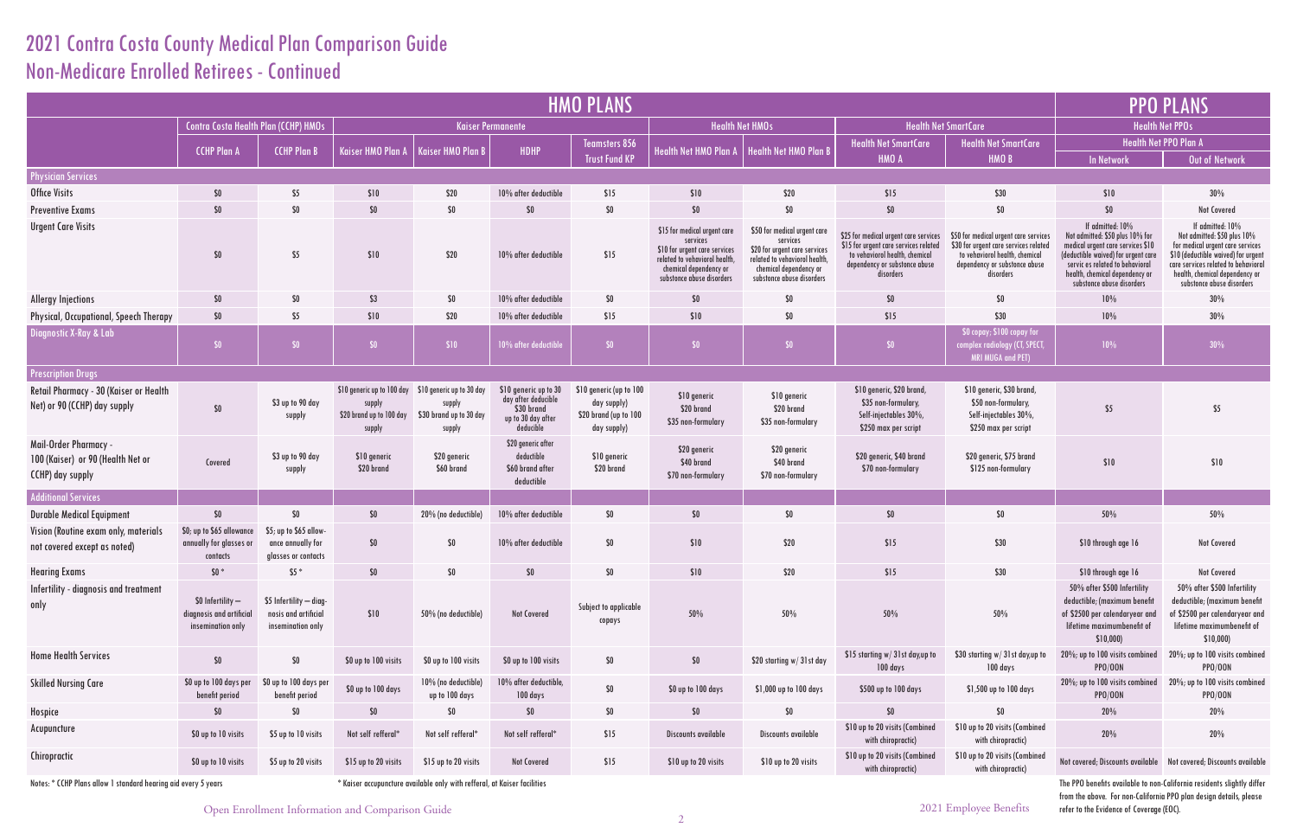## 2021 Contra Costa County Medical Plan Comparison Guide Non-Medicare Enrolled Retirees - Continued

|                                               |                                                                                                                                                                |                                                                                                                                                                                                                                   | <b>PPO PLANS</b>                                                                                                                                                                                                                 |  |  |  |  |  |
|-----------------------------------------------|----------------------------------------------------------------------------------------------------------------------------------------------------------------|-----------------------------------------------------------------------------------------------------------------------------------------------------------------------------------------------------------------------------------|----------------------------------------------------------------------------------------------------------------------------------------------------------------------------------------------------------------------------------|--|--|--|--|--|
|                                               | alth Net SmartCare                                                                                                                                             | <b>Health Net PPOs</b>                                                                                                                                                                                                            |                                                                                                                                                                                                                                  |  |  |  |  |  |
| Care                                          | <b>Health Net SmartCare</b>                                                                                                                                    |                                                                                                                                                                                                                                   | Health Net PPO Plan A                                                                                                                                                                                                            |  |  |  |  |  |
|                                               | HMO <sub>B</sub>                                                                                                                                               | <b>In Network</b>                                                                                                                                                                                                                 | <b>Out of Network</b>                                                                                                                                                                                                            |  |  |  |  |  |
|                                               |                                                                                                                                                                |                                                                                                                                                                                                                                   |                                                                                                                                                                                                                                  |  |  |  |  |  |
|                                               | \$30                                                                                                                                                           | \$10                                                                                                                                                                                                                              | 30%                                                                                                                                                                                                                              |  |  |  |  |  |
|                                               | \$0                                                                                                                                                            | \$0                                                                                                                                                                                                                               | <b>Not Covered</b>                                                                                                                                                                                                               |  |  |  |  |  |
| e services<br>s related!<br>emical<br>e abuse | \$50 for medical urgent care services<br>\$30 for urgent care services related<br>to vehaviorol health, chemical<br>dependency or substonce abuse<br>disorders | If admitted: 10%<br>Not admitted: \$50 plus 10% for<br>medical urgent care services \$10<br>(deductible waived) for urgent care<br>servic es related to behavioral<br>health, chemical dependency or<br>substonce abuse disorders | If admitted: 10%<br>Not admitted: \$50 plus 10%<br>for medical urgent care services<br>\$10 (deductible waived) for urgent<br>care services related to behavioral<br>health, chemical dependency or<br>substonce abuse disorders |  |  |  |  |  |
|                                               | \$O                                                                                                                                                            | 10%                                                                                                                                                                                                                               | 30%                                                                                                                                                                                                                              |  |  |  |  |  |
|                                               | \$30                                                                                                                                                           | 10%                                                                                                                                                                                                                               | 30%                                                                                                                                                                                                                              |  |  |  |  |  |
|                                               | \$0 copay; \$100 copay for<br>complex radiology (CT, SPECT,<br><b>MRI MUGA and PET)</b>                                                                        | 10%                                                                                                                                                                                                                               | 30%                                                                                                                                                                                                                              |  |  |  |  |  |
|                                               |                                                                                                                                                                |                                                                                                                                                                                                                                   |                                                                                                                                                                                                                                  |  |  |  |  |  |
| and,<br>y,<br>$\frac{10}{6}$<br>ipt           | \$10 generic, \$30 brand,<br>\$50 non-formulary,<br>Self-injectables 30%,<br>\$250 max per script                                                              | \$5                                                                                                                                                                                                                               | \$5                                                                                                                                                                                                                              |  |  |  |  |  |
| and<br>.<br>Y                                 | \$20 generic, \$75 brand<br>\$125 non-formulary                                                                                                                | \$10                                                                                                                                                                                                                              | \$10                                                                                                                                                                                                                             |  |  |  |  |  |
|                                               |                                                                                                                                                                |                                                                                                                                                                                                                                   |                                                                                                                                                                                                                                  |  |  |  |  |  |
|                                               | \$0                                                                                                                                                            | 50%                                                                                                                                                                                                                               | 50%                                                                                                                                                                                                                              |  |  |  |  |  |
|                                               | \$30                                                                                                                                                           | \$10 through age 16                                                                                                                                                                                                               | <b>Not Covered</b>                                                                                                                                                                                                               |  |  |  |  |  |
|                                               | \$30                                                                                                                                                           | \$10 through age 16                                                                                                                                                                                                               | <b>Not Covered</b>                                                                                                                                                                                                               |  |  |  |  |  |
|                                               | 50%                                                                                                                                                            | 50% after \$500 Infertility<br>deductible; (maximum benefit<br>of \$2500 per calendaryear and<br>lifetime maximumbenefit of<br>\$10,000)                                                                                          | 50% after \$500 Infertility<br>deductible; (maximum benefit<br>of \$2500 per calendaryear and<br>lifetime maximumbenefit of<br>\$10,000)                                                                                         |  |  |  |  |  |
| ay,up to                                      | \$30 starting w/ 31 st day, up to<br>100 days                                                                                                                  | 20%; up to 100 visits combined<br><b>PPO/OON</b>                                                                                                                                                                                  | 20%; up to 100 visits combined<br><b>PPO/OON</b>                                                                                                                                                                                 |  |  |  |  |  |
| ys                                            | \$1,500 up to 100 days                                                                                                                                         | 20%; up to 100 visits combined<br><b>PPO/OON</b>                                                                                                                                                                                  | 20%; up to 100 visits combined<br><b>PPO/OON</b>                                                                                                                                                                                 |  |  |  |  |  |
|                                               | \$0                                                                                                                                                            | 20%                                                                                                                                                                                                                               | 20%                                                                                                                                                                                                                              |  |  |  |  |  |
| mbined<br>$\mathcal{E}$                       | \$10 up to 20 visits (Combined<br>with chiropractic)                                                                                                           | 20%                                                                                                                                                                                                                               | 20%                                                                                                                                                                                                                              |  |  |  |  |  |
| mbined<br>$\big)$                             | \$10 up to 20 visits (Combined<br>with chiropractic)                                                                                                           | Not covered; Discounts available                                                                                                                                                                                                  | Not covered; Discounts available                                                                                                                                                                                                 |  |  |  |  |  |
|                                               | 2021 Employee Benefits                                                                                                                                         | The PPO benefits available to non-California residents slightly differ<br>from the above. For non-California PPO plan design details, please<br>refer to the Evidence of Coverage (EOC).                                          |                                                                                                                                                                                                                                  |  |  |  |  |  |

| <b>HMO PLANS</b>                                                                      |                                                                    |                                                                      |                                                                                                      |                                             |                                                                                               |                                                                                |                                                                                                                                                                   |                                                                                                                                                                   |                                                                                                                                                                |                                                                                                                                                                |                                                                                                                                                                                                                                   | <b>PPO PLANS</b>                                                                                                                                                            |  |
|---------------------------------------------------------------------------------------|--------------------------------------------------------------------|----------------------------------------------------------------------|------------------------------------------------------------------------------------------------------|---------------------------------------------|-----------------------------------------------------------------------------------------------|--------------------------------------------------------------------------------|-------------------------------------------------------------------------------------------------------------------------------------------------------------------|-------------------------------------------------------------------------------------------------------------------------------------------------------------------|----------------------------------------------------------------------------------------------------------------------------------------------------------------|----------------------------------------------------------------------------------------------------------------------------------------------------------------|-----------------------------------------------------------------------------------------------------------------------------------------------------------------------------------------------------------------------------------|-----------------------------------------------------------------------------------------------------------------------------------------------------------------------------|--|
|                                                                                       | Contra Costa Health Plan (CCHP) HMOs                               |                                                                      |                                                                                                      |                                             | <b>Kaiser Permanente</b>                                                                      |                                                                                |                                                                                                                                                                   | <b>Health Net HMOs</b>                                                                                                                                            | <b>Health Net SmartCare</b>                                                                                                                                    |                                                                                                                                                                | <b>Health Net PPOs</b>                                                                                                                                                                                                            |                                                                                                                                                                             |  |
|                                                                                       | <b>CCHP Plan A</b>                                                 | <b>CCHP Plan B</b>                                                   | <b>Kaiser HMO Plan A</b>                                                                             | Kaiser HMO Plan B                           | <b>HDHP</b>                                                                                   | Teamsters 856                                                                  | Health Net HMO Plan A                                                                                                                                             | Health Net HMO Plan B                                                                                                                                             | <b>Health Net SmartCare</b>                                                                                                                                    | <b>Health Net SmartCare</b>                                                                                                                                    |                                                                                                                                                                                                                                   | <b>Health Net PPO Plan A</b>                                                                                                                                                |  |
|                                                                                       |                                                                    |                                                                      |                                                                                                      |                                             |                                                                                               | <b>Trust Fund KP</b>                                                           |                                                                                                                                                                   |                                                                                                                                                                   | HMO A                                                                                                                                                          | HMO <sub>B</sub>                                                                                                                                               | <b>In Network</b>                                                                                                                                                                                                                 | Out of Netwo                                                                                                                                                                |  |
| <b>Physician Services</b>                                                             |                                                                    |                                                                      |                                                                                                      |                                             |                                                                                               |                                                                                |                                                                                                                                                                   |                                                                                                                                                                   |                                                                                                                                                                |                                                                                                                                                                |                                                                                                                                                                                                                                   |                                                                                                                                                                             |  |
| <b>Office Visits</b>                                                                  | \$0                                                                | \$5                                                                  | \$10                                                                                                 | \$20                                        | 10% after deductible                                                                          | \$15                                                                           | \$10                                                                                                                                                              | \$20                                                                                                                                                              | \$15                                                                                                                                                           | \$30                                                                                                                                                           | \$10                                                                                                                                                                                                                              | 30%                                                                                                                                                                         |  |
| <b>Preventive Exams</b>                                                               | $$0$$                                                              | $$0\,$                                                               | $$0\,$                                                                                               | $$0\,$                                      | $$0$$                                                                                         | $\$0$                                                                          | $$0\,$                                                                                                                                                            | $$0\,$                                                                                                                                                            | $$0\,$                                                                                                                                                         | $\$0$                                                                                                                                                          | $$0$$                                                                                                                                                                                                                             | Not Covered                                                                                                                                                                 |  |
| <b>Urgent Care Visits</b>                                                             | \$0                                                                | \$5                                                                  | \$10                                                                                                 | \$20                                        | 10% after deductible                                                                          | \$15                                                                           | \$15 for medical urgent care<br>services<br>\$10 for urgent care services<br>related to vehaviorol health,<br>chemical dependency or<br>substonce abuse disorders | \$50 for medical urgent care<br>services<br>\$20 for urgent care services<br>related to vehaviorol health,<br>chemical dependency or<br>substonce abuse disorders | \$25 for medical urgent care services<br>\$15 for urgent care services related<br>to vehaviorol health, chemical<br>dependency or substonce abuse<br>disorders | \$50 for medical urgent care services<br>\$30 for urgent care services related<br>to vehaviorol health, chemical<br>dependency or substonce abuse<br>disorders | If admitted: 10%<br>Not admitted: \$50 plus 10% for<br>medical urgent care services \$10<br>(deductible waived) for urgent care<br>servic es related to behavioral<br>health, chemical dependency or<br>substonce abuse disorders | If admitted: 10<br>Not admitted: \$50 pl<br>for medical urgent car<br>\$10 (deductible waived)<br>care services related to<br>health, chemical deper<br>substonce abuse dis |  |
| <b>Allergy Injections</b>                                                             | \$0                                                                | \$0                                                                  | \$3                                                                                                  | \$0                                         | 10% after deductible                                                                          | \$0                                                                            | $$0$$                                                                                                                                                             | $$0\,$                                                                                                                                                            | \$0                                                                                                                                                            | \$0                                                                                                                                                            | 10%                                                                                                                                                                                                                               | 30%                                                                                                                                                                         |  |
| Physical, Occupational, Speech Therapy                                                | \$0                                                                | \$5                                                                  | \$10                                                                                                 | \$20                                        | 10% after deductible                                                                          | \$15                                                                           | \$10                                                                                                                                                              | \$0                                                                                                                                                               | \$15                                                                                                                                                           | \$30                                                                                                                                                           | 10%                                                                                                                                                                                                                               | 30%                                                                                                                                                                         |  |
| <b>Diagnostic X-Ray &amp; Lab</b>                                                     | SO <sub>1</sub>                                                    | \$0\$                                                                | \$0\$                                                                                                | \$10                                        | 10% after deductible                                                                          | \$0                                                                            | \$0                                                                                                                                                               | \$0\$                                                                                                                                                             | \$0                                                                                                                                                            | \$0 copay; \$100 copay for<br>complex radiology (CT, SPECT,<br>MRI MUGA and PET)                                                                               | 10%                                                                                                                                                                                                                               | 30%                                                                                                                                                                         |  |
| <b>Prescription Drugs</b>                                                             |                                                                    |                                                                      |                                                                                                      |                                             |                                                                                               |                                                                                |                                                                                                                                                                   |                                                                                                                                                                   |                                                                                                                                                                |                                                                                                                                                                |                                                                                                                                                                                                                                   |                                                                                                                                                                             |  |
| Retail Pharmacy - 30 (Kaiser or Health<br>Net) or 90 (CCHP) day supply                | \$0                                                                | \$3 up to 90 day<br>supply                                           | \$10 generic up to 100 day \$10 generic up to 30 day<br>supply<br>\$20 brand up to 100 day<br>supply | supply<br>\$30 brand up to 30 day<br>supply | \$10 generic up to 30<br>day after deducible<br>\$30 brand<br>up to 30 day after<br>deducible | \$10 generic (up to 100<br>day supply)<br>\$20 brand (up to 100<br>day supply) | \$10 generic<br>\$20 brand<br>\$35 non-formulary                                                                                                                  | \$10 generic<br>\$20 brand<br>\$35 non-formulary                                                                                                                  | \$10 generic, \$20 brand,<br>\$35 non-formulary,<br>Self-injectables 30%,<br>\$250 max per script                                                              | \$10 generic, \$30 brand,<br>\$50 non-formulary,<br>Self-injectables 30%,<br>\$250 max per script                                                              | \$5                                                                                                                                                                                                                               | \$5                                                                                                                                                                         |  |
| Mail-Order Pharmacy -<br>100 (Kaiser) or 90 (Health Net or<br><b>CCHP)</b> day supply | Covered                                                            | \$3 up to 90 day<br>supply                                           | \$10 generic<br>\$20 brand                                                                           | \$20 generic<br>\$60 brand                  | \$20 generic after<br>deductible<br>\$60 brand after<br>deductible                            | \$10 generic<br>\$20 brand                                                     | \$20 generic<br>\$40 brand<br>\$70 non-formulary                                                                                                                  | \$20 generic<br>\$40 brand<br>\$70 non-formulary                                                                                                                  | \$20 generic, \$40 brand<br>\$70 non-formulary                                                                                                                 | \$20 generic, \$75 brand<br>\$125 non-formulary                                                                                                                | \$10                                                                                                                                                                                                                              | \$10                                                                                                                                                                        |  |
| Additional Services                                                                   |                                                                    |                                                                      |                                                                                                      |                                             |                                                                                               |                                                                                |                                                                                                                                                                   |                                                                                                                                                                   |                                                                                                                                                                |                                                                                                                                                                |                                                                                                                                                                                                                                   |                                                                                                                                                                             |  |
| <b>Durable Medical Equipment</b>                                                      | \$0                                                                | \$0                                                                  | \$0                                                                                                  | 20% (no deductible)                         | 10% after deductible                                                                          | $$0\,$                                                                         | $$0$$                                                                                                                                                             | \$0                                                                                                                                                               | $$0$$                                                                                                                                                          | $\$0$                                                                                                                                                          | 50%                                                                                                                                                                                                                               | 50%                                                                                                                                                                         |  |
| Vision (Routine exam only, materials<br>not covered except as noted)                  | \$0; up to \$65 allowance<br>annually for glasses or<br>contacts   | \$5; up to \$65 allow-<br>ance annually for<br>glasses or contacts   | \$0                                                                                                  | $$0$$                                       | 10% after deductible                                                                          | $$0$$                                                                          | \$10                                                                                                                                                              | \$20                                                                                                                                                              | \$15                                                                                                                                                           | \$30                                                                                                                                                           | \$10 through age 16                                                                                                                                                                                                               | Not Covered                                                                                                                                                                 |  |
| <b>Hearing Exams</b>                                                                  | $$0*$                                                              | $$5*$                                                                | \$0                                                                                                  | SO.                                         | \$0                                                                                           | \$0                                                                            | \$10                                                                                                                                                              | \$20                                                                                                                                                              | \$15                                                                                                                                                           | \$30                                                                                                                                                           | \$10 through age 16                                                                                                                                                                                                               | Not Covered                                                                                                                                                                 |  |
| Infertility - diagnosis and treatment<br>only                                         | \$0 Infertility -<br>diagnosis and artificial<br>insemination only | \$5 Infertility - diag-<br>nosis and artificial<br>insemination only | \$10                                                                                                 | 50% (no deductible)                         | <b>Not Covered</b>                                                                            | Subject to applicable<br>copays                                                | $50\%$                                                                                                                                                            | $50\%$                                                                                                                                                            | $50\%$                                                                                                                                                         | $50\%$                                                                                                                                                         | 50% after \$500 Infertility<br>deductible; (maximum benefit<br>of \$2500 per calendaryear and<br>lifetime maximumbenefit of<br>\$10,000                                                                                           | 50% after \$500 In<br>deductible; (maximu<br>of \$2500 per calenda<br>lifetime maximumb<br>\$10,000                                                                         |  |
| <b>Home Health Services</b>                                                           | \$0\$                                                              | $$0\,$                                                               | \$0 up to 100 visits                                                                                 | \$0 up to 100 visits                        | \$0 up to 100 visits                                                                          | \$0                                                                            | \$0                                                                                                                                                               | \$20 starting w/31st day                                                                                                                                          | \$15 starting w/ 31st day, up to<br>100 days                                                                                                                   | \$30 starting w/ 31 st day, up to<br>100 days                                                                                                                  | 20%; up to 100 visits combined<br><b>PPO/OON</b>                                                                                                                                                                                  | $20\%$ ; up to $100$ visits<br><b>PPO/OON</b>                                                                                                                               |  |
| <b>Skilled Nursing Care</b>                                                           | \$0 up to 100 days per<br>benefit period                           | \$0 up to 100 days per<br>benefit period                             | \$0 up to 100 days                                                                                   | 10% (no deductible)<br>up to 100 days       | 10% after deductible,<br>100 days                                                             | $\$0$                                                                          | \$0 up to 100 days                                                                                                                                                | \$1,000 up to 100 days                                                                                                                                            | \$500 up to 100 days                                                                                                                                           | \$1,500 up to 100 days                                                                                                                                         | 20%; up to 100 visits combined<br><b>PPO/OON</b>                                                                                                                                                                                  | 20%; up to 100 visits<br><b>PPO/OON</b>                                                                                                                                     |  |
| Hospice                                                                               | \$0                                                                | \$0                                                                  | \$0                                                                                                  | \$0                                         | $$0\,$                                                                                        | \$0                                                                            | $$0\,$                                                                                                                                                            | \$0                                                                                                                                                               | \$0                                                                                                                                                            | \$0                                                                                                                                                            | $20\%$                                                                                                                                                                                                                            | 20%                                                                                                                                                                         |  |
| Acupuncture                                                                           | \$0 up to 10 visits                                                | \$5 up to 10 visits                                                  | Not self refferal*                                                                                   | Not self refferal*                          | Not self refferal*                                                                            | \$15                                                                           | Discounts available                                                                                                                                               | Discounts available                                                                                                                                               | \$10 up to 20 visits (Combined<br>with chiropractic)                                                                                                           | \$10 up to 20 visits (Combined<br>with chiropractic)                                                                                                           | $20\%$                                                                                                                                                                                                                            | 20%                                                                                                                                                                         |  |
| Chiropractic                                                                          | \$0 up to 10 visits                                                | \$5 up to 20 visits                                                  | \$15 up to 20 visits                                                                                 | \$15 up to 20 visits                        | <b>Not Covered</b>                                                                            | \$15                                                                           | \$10 up to 20 visits                                                                                                                                              | \$10 up to 20 visits                                                                                                                                              | \$10 up to 20 visits (Combined<br>with chiropractic)                                                                                                           | \$10 up to 20 visits (Combined<br>with chiropractic)                                                                                                           |                                                                                                                                                                                                                                   |                                                                                                                                                                             |  |
|                                                                                       |                                                                    |                                                                      |                                                                                                      |                                             |                                                                                               |                                                                                |                                                                                                                                                                   |                                                                                                                                                                   |                                                                                                                                                                |                                                                                                                                                                |                                                                                                                                                                                                                                   |                                                                                                                                                                             |  |

Notes: \* CCHP Plans allow 1 standard hearing aid every 5 years \* \* \* Kaiser accupuncture available only with refferal, at Kaiser facilities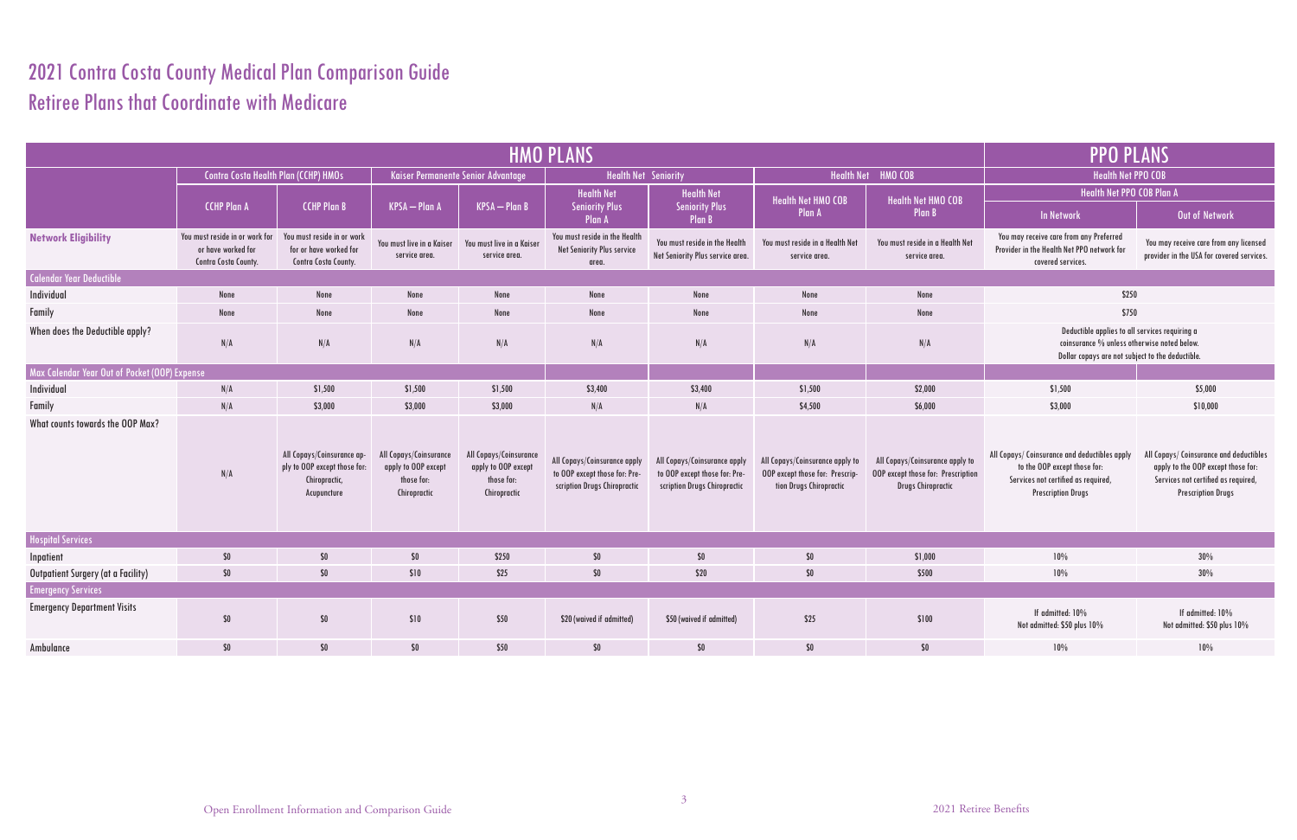## 2021 Contra Costa County Medical Plan Comparison Guide Retiree Plans that Coordinate with Medicare

|                                               |                                                                              |                                                                                            |                                                                             |                                                                             | <b>HMO PLANS</b>                                                                              |                                                                                               |                                                                                               | <b>PPO PLANS</b>                                                                                   |                                                                                                                                                   |                                                                                                                                                   |  |
|-----------------------------------------------|------------------------------------------------------------------------------|--------------------------------------------------------------------------------------------|-----------------------------------------------------------------------------|-----------------------------------------------------------------------------|-----------------------------------------------------------------------------------------------|-----------------------------------------------------------------------------------------------|-----------------------------------------------------------------------------------------------|----------------------------------------------------------------------------------------------------|---------------------------------------------------------------------------------------------------------------------------------------------------|---------------------------------------------------------------------------------------------------------------------------------------------------|--|
|                                               | Contra Costa Health Plan (CCHP) HMOs                                         |                                                                                            | Kaiser Permanente Senior Advantage                                          |                                                                             | <b>Health Net Seniority</b>                                                                   |                                                                                               |                                                                                               | Health Net HMO COB                                                                                 | <b>Health Net PPO COB</b>                                                                                                                         |                                                                                                                                                   |  |
|                                               |                                                                              |                                                                                            |                                                                             |                                                                             | <b>Health Net</b>                                                                             | <b>Health Net</b>                                                                             | <b>Health Net HMO COB</b>                                                                     | <b>Health Net HMO COB</b>                                                                          | Health Net PPO COB Plan A                                                                                                                         |                                                                                                                                                   |  |
|                                               | <b>CCHP Plan A</b>                                                           | <b>CCHP Plan B</b>                                                                         | <b>KPSA</b> - Plan A                                                        | $KPSA$ – Plan B                                                             | <b>Seniority Plus</b><br>Plan A                                                               | <b>Seniority Plus</b><br><b>Plan B</b>                                                        | Plan A                                                                                        | <b>Plan B</b>                                                                                      | <b>In Network</b>                                                                                                                                 | Out of Network                                                                                                                                    |  |
| <b>Network Eligibility</b>                    | You must reside in or work for<br>or have worked for<br>Contra Costa County. | You must reside in or work<br>for or have worked for<br>Contra Costa County.               | You must live in a Kaiser<br>service area.                                  | You must live in a Kaiser<br>service area.                                  | You must reside in the Health<br>Net Seniority Plus service<br>area.                          | You must reside in the Health<br>Net Seniority Plus service area.                             | You must reside in a Health Net<br>service area.                                              | You must reside in a Health Net<br>service area.                                                   | You may receive care from any Preferred<br>Provider in the Health Net PPO network for<br>covered services.                                        | You may receive care from any licensed<br>provider in the USA for covered services.                                                               |  |
| Calendar Year Deductible                      |                                                                              |                                                                                            |                                                                             |                                                                             |                                                                                               |                                                                                               |                                                                                               |                                                                                                    |                                                                                                                                                   |                                                                                                                                                   |  |
| Individual                                    | None                                                                         | None                                                                                       | None                                                                        | None                                                                        | None                                                                                          | None                                                                                          | None                                                                                          | None                                                                                               | \$250                                                                                                                                             |                                                                                                                                                   |  |
| Family                                        | None                                                                         | None                                                                                       | None                                                                        | None                                                                        | None                                                                                          | None                                                                                          | None                                                                                          | None                                                                                               | \$750                                                                                                                                             |                                                                                                                                                   |  |
| When does the Deductible apply?               | N/A                                                                          | N/A                                                                                        | N/A                                                                         | N/A                                                                         | N/A                                                                                           | N/A                                                                                           | N/A                                                                                           | N/A                                                                                                | Deductible applies to all services requiring a<br>coinsurance % unless otherwise noted below.<br>Dollar copays are not subject to the deductible. |                                                                                                                                                   |  |
| Max Calendar Year Out of Pocket (OOP) Expense |                                                                              |                                                                                            |                                                                             |                                                                             |                                                                                               |                                                                                               |                                                                                               |                                                                                                    |                                                                                                                                                   |                                                                                                                                                   |  |
| Individual                                    | N/A                                                                          | \$1,500                                                                                    | \$1,500                                                                     | \$1,500                                                                     | \$3,400                                                                                       | \$3,400                                                                                       | \$1,500                                                                                       | \$2,000                                                                                            | \$1,500                                                                                                                                           | \$5,000                                                                                                                                           |  |
| Family                                        | N/A                                                                          | \$3,000                                                                                    | \$3,000                                                                     | \$3,000                                                                     | N/A                                                                                           | N/A                                                                                           | \$4,500                                                                                       | \$6,000                                                                                            | \$3,000                                                                                                                                           | \$10,000                                                                                                                                          |  |
| What counts towards the OOP Max?              | N/A                                                                          | All Copays/Coinsurance ap-<br>ply to OOP except those for:<br>Chiropractic,<br>Acupuncture | All Copays/Coinsurance<br>apply to OOP except<br>those for:<br>Chiropractic | All Copays/Coinsurance<br>apply to OOP except<br>those for:<br>Chiropractic | All Copays/Coinsurance apply<br>to OOP except those for: Pre-<br>scription Drugs Chiropractic | All Copays/Coinsurance apply<br>to OOP except those for: Pre-<br>scription Drugs Chiropractic | All Copays/Coinsurance apply to<br>OOP except those for: Prescrip-<br>tion Drugs Chiropractic | All Copays/Coinsurance apply to<br>OOP except those for: Prescription<br><b>Drugs Chiropractic</b> | All Copays/ Coinsurance and deductibles apply<br>to the OOP except those for:<br>Services not certified as required,<br><b>Prescription Drugs</b> | All Copays/ Coinsurance and deductibles<br>apply to the OOP except those for:<br>Services not certified as required,<br><b>Prescription Drugs</b> |  |
| <b>Hospital Services</b>                      |                                                                              |                                                                                            |                                                                             |                                                                             |                                                                                               |                                                                                               |                                                                                               |                                                                                                    |                                                                                                                                                   |                                                                                                                                                   |  |
| Inpatient                                     | \$0                                                                          | $$0$$                                                                                      | $$0\,$                                                                      | \$250                                                                       | \$0                                                                                           | $$0\,$                                                                                        | \$0\$                                                                                         | \$1,000                                                                                            | 10%                                                                                                                                               | 30%                                                                                                                                               |  |
| Outpatient Surgery (at a Facility)            | \$0                                                                          | \$0\$                                                                                      | \$10                                                                        | \$25                                                                        | \$0                                                                                           | \$20                                                                                          | \$0                                                                                           | \$500                                                                                              | 10%                                                                                                                                               | 30%                                                                                                                                               |  |
| <b>Emergency Services</b>                     |                                                                              |                                                                                            |                                                                             |                                                                             |                                                                                               |                                                                                               |                                                                                               |                                                                                                    |                                                                                                                                                   |                                                                                                                                                   |  |
| <b>Emergency Department Visits</b>            | \$0                                                                          | $\$0$                                                                                      | \$10                                                                        | \$50                                                                        | \$20 (waived if admitted)                                                                     | \$50 (waived if admitted)                                                                     | \$25                                                                                          | \$100                                                                                              | If admitted: 10%<br>Not admitted: \$50 plus 10%                                                                                                   | If admitted: 10%<br>Not admitted: \$50 plus 10%                                                                                                   |  |
| Ambulance                                     | \$0                                                                          | \$0                                                                                        | $$0$$                                                                       | \$50                                                                        | $$0$$                                                                                         | $$0\,$                                                                                        | \$0\$                                                                                         | \$0                                                                                                | 10%                                                                                                                                               | 10%                                                                                                                                               |  |